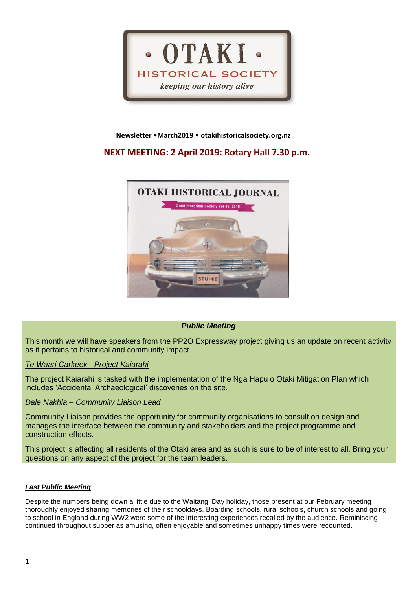

### **Newsletter •March2019 • otakihistoricalsociety.org.nz**

# **NEXT MEETING: 2 April 2019: Rotary Hall 7.30 p.m.**



# *Public Meeting*

This month we will have speakers from the PP2O Expressway project giving us an update on recent activity as it pertains to historical and community impact.

### *Te Waari Carkeek - Project Kaiarahi*

The project Kaiarahi is tasked with the implementation of the Nga Hapu o Otaki Mitigation Plan which includes 'Accidental Archaeological' discoveries on the site.

# *Dale Nakhla – Community Liaison Lead*

Community Liaison provides the opportunity for community organisations to consult on design and manages the interface between the community and stakeholders and the project programme and construction effects.

This project is affecting all residents of the Otaki area and as such is sure to be of interest to all. Bring your questions on any aspect of the project for the team leaders.

### *Last Public Meeting*

Despite the numbers being down a little due to the Waitangi Day holiday, those present at our February meeting thoroughly enjoyed sharing memories of their schooldays. Boarding schools, rural schools, church schools and going to school in England during WW2 were some of the interesting experiences recalled by the audience. Reminiscing continued throughout supper as amusing, often enjoyable and sometimes unhappy times were recounted.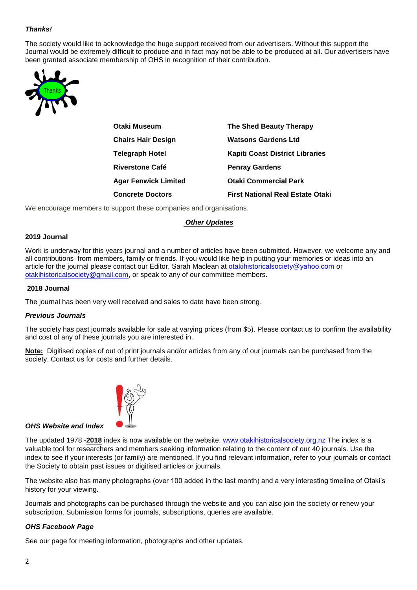# *Thanks!*

The society would like to acknowledge the huge support received from our advertisers. Without this support the Journal would be extremely difficult to produce and in fact may not be able to be produced at all. Our advertisers have been granted associate membership of OHS in recognition of their contribution.



| Otaki Museum                | The Shed Beauty Therapy                 |
|-----------------------------|-----------------------------------------|
| <b>Chairs Hair Design</b>   | <b>Watsons Gardens Ltd</b>              |
| Telegraph Hotel             | <b>Kapiti Coast District Libraries</b>  |
| Riverstone Café             | <b>Penray Gardens</b>                   |
| <b>Agar Fenwick Limited</b> | <b>Otaki Commercial Park</b>            |
| <b>Concrete Doctors</b>     | <b>First National Real Estate Otaki</b> |
|                             |                                         |

We encourage members to support these companies and organisations.

#### *Other Updates*

#### **2019 Journal**

Work is underway for this years journal and a number of articles have been submitted. However, we welcome any and all contributions from members, family or friends. If you would like help in putting your memories or ideas into an article for the journal please contact our Editor, Sarah Maclean at [otakihistoricalsociety@yahoo.com](mailto:otakihistoricalsociety@yahoo.com) or [otakihistoricalsociety@gmail.com,](mailto:otakihistoricalsociety@gmail.com) or speak to any of our committee members.

#### **2018 Journal**

The journal has been very well received and sales to date have been strong.

#### *Previous Journals*

The society has past journals available for sale at varying prices (from \$5). Please contact us to confirm the availability and cost of any of these journals you are interested in.

**Note:** Digitised copies of out of print journals and/or articles from any of our journals can be purchased from the society. Contact us for costs and further details.



#### *OHS Website and Index*

The updated 1978 -**2018** index is now available on the website. [www.otakihistoricalsociety.org.nz](http://www.otakihistoricalsociety.org.nz/) The index is a valuable tool for researchers and members seeking information relating to the content of our 40 journals. Use the index to see if your interests (or family) are mentioned. If you find relevant information, refer to your journals or contact the Society to obtain past issues or digitised articles or journals.

The website also has many photographs (over 100 added in the last month) and a very interesting timeline of Otaki's history for your viewing.

Journals and photographs can be purchased through the website and you can also join the society or renew your subscription. Submission forms for journals, subscriptions, queries are available.

### *OHS Facebook Page*

See our page for meeting information, photographs and other updates.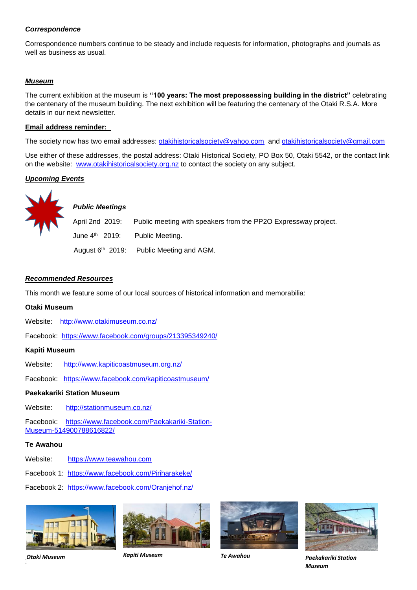#### *Correspondence*

Correspondence numbers continue to be steady and include requests for information, photographs and journals as well as business as usual.

### *Museum*

The current exhibition at the museum is **"100 years: The most prepossessing building in the district"** celebrating the centenary of the museum building. The next exhibition will be featuring the centenary of the Otaki R.S.A. More details in our next newsletter.

#### **Email address reminder:**

The society now has two email addresses: [otakihistoricalsociety@yahoo.com](mailto:otakihistoricalsociety@yahoo.com) and [otakihistoricalsociety@gmail.com](mailto:otakihistoricalsociety@gmail.com)

Use either of these addresses, the postal address: Otaki Historical Society, PO Box 50, Otaki 5542, or the contact link on the website: [www.otakihistoricalsociety.org.nz](http://www.otakihistoricalsociety.org.nz/) to contact the society on any subject.

### *Upcoming Events*



# *Public Meetings*

April 2nd 2019: Public meeting with speakers from the PP2O Expressway project. June 4<sup>th</sup> 2019: Public Meeting. August  $6<sup>th</sup>$  2019: Public Meeting and AGM.

### *Recommended Resources*

This month we feature some of our local sources of historical information and memorabilia:

#### **Otaki Museum**

- Website: <http://www.otakimuseum.co.nz/>
- Facebook: <https://www.facebook.com/groups/213395349240/>

### **Kapiti Museum**

- Website: <http://www.kapiticoastmuseum.org.nz/>
- Facebook: <https://www.facebook.com/kapiticoastmuseum/>

#### **Paekakariki Station Museum**

Website: <http://stationmuseum.co.nz/>

Facebook: [https://www.facebook.com/Paekakariki-Station-](https://www.facebook.com/Paekakariki-Station-Museum-514900788616822/)[Museum-514900788616822/](https://www.facebook.com/Paekakariki-Station-Museum-514900788616822/)

#### **Te Awahou**

Website: [https://www.teawahou.com](https://www.teawahou.com/)

Facebook 1: <https://www.facebook.com/Piriharakeke/>

Facebook 2: https://www.facebook.com/Oranjehof.nz/











*Otaki Museum Kapiti Museum Te Awahou Paekakariki Station Museum*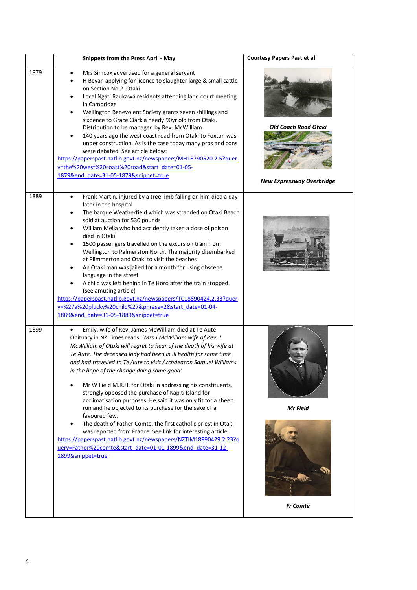|      | <b>Snippets from the Press April - May</b>                                                                                                                                                                                                                                                                                                                                                                                                                                                                                                                                                                                                                                                                                                                                                                                                                                                                                                        | <b>Courtesy Papers Past et al</b>                        |
|------|---------------------------------------------------------------------------------------------------------------------------------------------------------------------------------------------------------------------------------------------------------------------------------------------------------------------------------------------------------------------------------------------------------------------------------------------------------------------------------------------------------------------------------------------------------------------------------------------------------------------------------------------------------------------------------------------------------------------------------------------------------------------------------------------------------------------------------------------------------------------------------------------------------------------------------------------------|----------------------------------------------------------|
| 1879 | Mrs Simcox advertised for a general servant<br>$\bullet$<br>H Bevan applying for licence to slaughter large & small cattle<br>$\bullet$<br>on Section No.2. Otaki<br>Local Ngati Raukawa residents attending land court meeting<br>$\bullet$<br>in Cambridge<br>Wellington Benevolent Society grants seven shillings and<br>$\bullet$<br>sixpence to Grace Clark a needy 90yr old from Otaki.<br>Distribution to be managed by Rev. McWilliam<br>140 years ago the west coast road from Otaki to Foxton was<br>$\bullet$<br>under construction. As is the case today many pros and cons<br>were debated. See article below:<br>https://paperspast.natlib.govt.nz/newspapers/MH18790520.2.5?quer<br>y=the%20west%20coast%20road&start_date=01-05-<br>1879&end date=31-05-1879&snippet=true                                                                                                                                                         | Old Coach Road Otaki<br><b>New Expressway Overbridge</b> |
| 1889 | Frank Martin, injured by a tree limb falling on him died a day<br>$\bullet$<br>later in the hospital<br>The barque Weatherfield which was stranded on Otaki Beach<br>٠<br>sold at auction for 530 pounds<br>William Melia who had accidently taken a dose of poison<br>$\bullet$<br>died in Otaki<br>1500 passengers travelled on the excursion train from<br>$\bullet$<br>Wellington to Palmerston North. The majority disembarked<br>at Plimmerton and Otaki to visit the beaches<br>An Otaki man was jailed for a month for using obscene<br>$\bullet$<br>language in the street<br>A child was left behind in Te Horo after the train stopped.<br>(see amusing article)<br>https://paperspast.natlib.govt.nz/newspapers/TC18890424.2.33?quer<br>y=%27a%20plucky%20child%27&phrase=2&start_date=01-04-<br>1889&end_date=31-05-1889&snippet=true                                                                                                |                                                          |
| 1899 | Emily, wife of Rev. James McWilliam died at Te Aute<br>Obituary in NZ Times reads: 'Mrs J McWilliam wife of Rev. J<br>McWilliam of Otaki will regret to hear of the death of his wife at<br>Te Aute. The deceased lady had been in ill health for some time<br>and had travelled to Te Aute to visit Archdeacon Samuel Williams<br>in the hope of the change doing some good'<br>Mr W Field M.R.H. for Otaki in addressing his constituents,<br>strongly opposed the purchase of Kapiti Island for<br>acclimatisation purposes. He said it was only fit for a sheep<br>run and he objected to its purchase for the sake of a<br>favoured few.<br>The death of Father Comte, the first catholic priest in Otaki<br>$\bullet$<br>was reported from France. See link for interesting article:<br>https://paperspast.natlib.govt.nz/newspapers/NZTIM18990429.2.23?q<br>uery=Father%20comte&start_date=01-01-1899&end_date=31-12-<br>1899&snippet=true | Mr Field<br><b>Fr</b> Comte                              |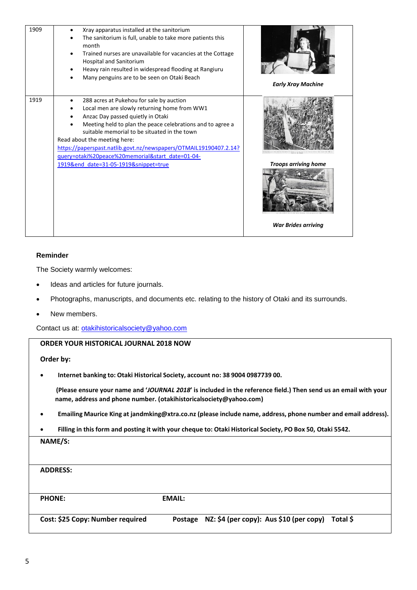| 1909 | Xray apparatus installed at the sanitorium<br>The sanitorium is full, unable to take more patients this<br>month<br>Trained nurses are unavailable for vacancies at the Cottage<br><b>Hospital and Sanitorium</b><br>Heavy rain resulted in widespread flooding at Rangiuru<br>Many penguins are to be seen on Otaki Beach                                                                                | <b>Early Xray Machine</b>   |
|------|-----------------------------------------------------------------------------------------------------------------------------------------------------------------------------------------------------------------------------------------------------------------------------------------------------------------------------------------------------------------------------------------------------------|-----------------------------|
| 1919 | 288 acres at Pukehou for sale by auction<br>٠<br>Local men are slowly returning home from WW1<br>Anzac Day passed quietly in Otaki<br>Meeting held to plan the peace celebrations and to agree a<br>suitable memorial to be situated in the town<br>Read about the meeting here:<br>https://paperspast.natlib.govt.nz/newspapers/OTMAIL19190407.2.14?<br>query=otaki%20peace%20memorial&start_date=01-04- |                             |
|      | 1919&end date=31-05-1919&snippet=true                                                                                                                                                                                                                                                                                                                                                                     | <b>Troops arriving home</b> |
|      |                                                                                                                                                                                                                                                                                                                                                                                                           | <b>War Brides arriving</b>  |

### **Reminder**

The Society warmly welcomes:

- Ideas and articles for future journals.
- Photographs, manuscripts, and documents etc. relating to the history of Otaki and its surrounds.
- New members.

Contact us at: [otakihistoricalsociety@yahoo.com](mailto:otakihistoricalsociety@yahoo.com)

### **ORDER YOUR HISTORICAL JOURNAL 2018 NOW**

**Order by:**

• **Internet banking to: Otaki Historical Society, account no: 38 9004 0987739 00.**

 **(Please ensure your name and '***JOURNAL 2018***' is included in the reference field.) Then send us an email with your name, address and phone number. [\(otakihistoricalsociety@yahoo.com\)](mailto:otakihistoricalsociety@yahoo.com)** 

- **Emailing Maurice King at [jandmking@xtra.co.nz](mailto:jandmking@xtra.co.nz) (please include name, address, phone number and email address).**
- Filling in this form and posting it with your cheque to: Otaki Historical Society, PO Box 50, Otaki 5542.

| NAME/S:                          |               |                                         |          |
|----------------------------------|---------------|-----------------------------------------|----------|
|                                  |               |                                         |          |
| <b>ADDRESS:</b>                  |               |                                         |          |
|                                  |               |                                         |          |
| <b>PHONE:</b>                    | <b>EMAIL:</b> |                                         |          |
|                                  |               |                                         |          |
| Cost: \$25 Copy: Number required | Postage       | NZ: \$4 (per copy): Aus \$10 (per copy) | Total \$ |
|                                  |               |                                         |          |